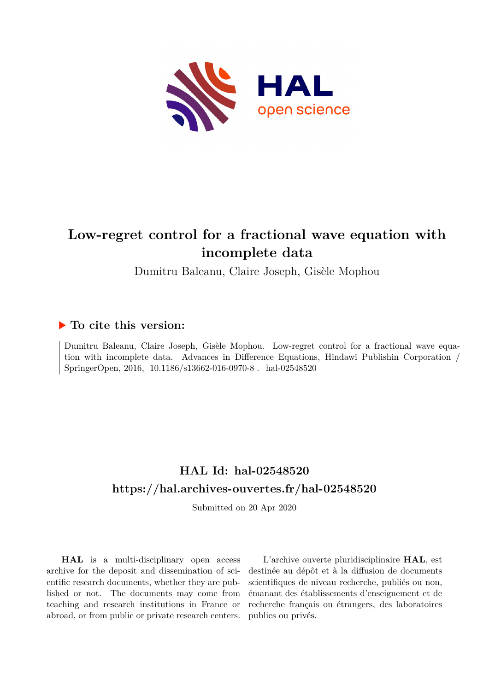

# **Low-regret control for a fractional wave equation with incomplete data**

Dumitru Baleanu, Claire Joseph, Gisèle Mophou

# **To cite this version:**

Dumitru Baleanu, Claire Joseph, Gisèle Mophou. Low-regret control for a fractional wave equation with incomplete data. Advances in Difference Equations, Hindawi Publishin Corporation / SpringerOpen, 2016, 10.1186/s13662-016-0970-8. hal-02548520

# **HAL Id: hal-02548520 <https://hal.archives-ouvertes.fr/hal-02548520>**

Submitted on 20 Apr 2020

**HAL** is a multi-disciplinary open access archive for the deposit and dissemination of scientific research documents, whether they are published or not. The documents may come from teaching and research institutions in France or abroad, or from public or private research centers.

L'archive ouverte pluridisciplinaire **HAL**, est destinée au dépôt et à la diffusion de documents scientifiques de niveau recherche, publiés ou non, émanant des établissements d'enseignement et de recherche français ou étrangers, des laboratoires publics ou privés.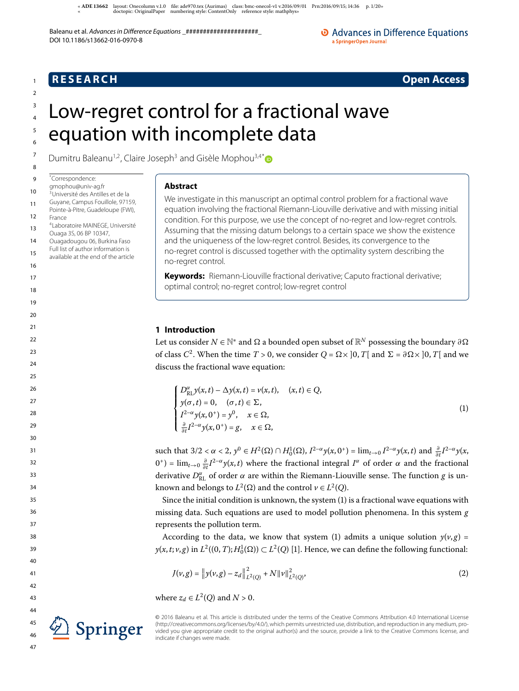« **ADE**  layout: Onecolumn v.. file: ade.tex (Aurimas) class: bmc-onecol-v v.// Prn://; : p. /» « doctopic: OriginalPaper numbering style: ContentOnly reference style: mathphys»

Baleanu et al. Advances in Difference Equations ################################# DOI 10.1186/s13662-016-0970-8

O Advances in Difference Equations a SpringerOpen Journal

# **R E S E A R C H Open Access**

1

# Low-regret control for a fractional wave

# equation with incomplete data

Dumitru Baleanu<sup>1,2</sup>, Claire Joseph<sup>3</sup> and Gisèle Mophou<sup>3,4\*</sup>

 $\overline{9}$ \*Correspondence:

- 10 gmophou@univ-ag.fr
- 11 <sup>3</sup>Université des Antilles et de la Guyane, Campus Fouillole, 97159,
- 12 Pointe-à-Pitre, Guadeloupe (FWI), France
- 13 4 Laboratoire MAINEGE, Université Ouaga 3S, 06 BP 10347,
- 14 Ouagadougou 06, Burkina Faso
- 15 Full list of author information is
- available at the end of the article
- 16

17

## 18

- 19
- 20
- 21
- $22$
- 
- 23

24

- $25$
- 26 27
- 28
- 29
- 30

31

32

33

34

35

36

37





**Abstract**

We investigate in this manuscript an optimal control problem for a fractional wave equation involving the fractional Riemann-Liouville derivative and with missing initial condition. For this purpose, we use the concept of no-regret and low-regret controls. Assuming that the missing datum belongs to a certain space we show the existence and the uniqueness of the low-regret control. Besides, its convergence to the no-regret control is discussed together with the optimality system describing the no-regret control.

**Keywords:** Riemann-Liouville fractional derivative; Caputo fractional derivative; optimal control; no-regret control; low-regret control

## **1 Introduction**

Let us consider  $N\in\mathbb{N}^*$  and  $\Omega$  a bounded open subset of  $\mathbb{R}^N$  possessing the boundary  $\partial\Omega$ of class  $C^2$ . When the time  $T > 0$ , we consider  $Q = \Omega \times ]0, T[$  and  $\Sigma = \partial \Omega \times ]0, T[$  and we discuss the fractional wave equation:

$$
\begin{cases}\nD_{\text{RL}}^{\alpha}y(x,t) - \Delta y(x,t) = v(x,t), & (x,t) \in Q, \\
y(\sigma, t) = 0, & (\sigma, t) \in \Sigma, \\
I^{2-\alpha}y(x, 0^+) = y^0, & x \in \Omega, \\
\frac{\partial}{\partial t}I^{2-\alpha}y(x, 0^+) = g, & x \in \Omega,\n\end{cases}
$$
\n(1)

such that  $3/2 < \alpha < 2$ ,  $y^0 \in H^2(\Omega) \cap H_0^1(\Omega)$ ,  $I^{2-\alpha}y(x, 0^+) = \lim_{t \to 0} I^{2-\alpha}y(x, t)$  and  $\frac{\partial}{\partial t}I^{2-\alpha}y(x, t)$  $(0^+)$  = lim<sub>t→0</sub>  $\frac{\partial}{\partial t}I^{2-\alpha}y(x,t)$  where the fractional integral  $I^{\alpha}$  of order  $\alpha$  and the fractional derivative  $D_{\text{RL}}^{\alpha}$  of order  $\alpha$  are within the Riemann-Liouville sense. The function  $g$  is unknown and belongs to  $L^2(\Omega)$  and the control  $v \in L^2(Q)$ .

Since the initial condition is unknown, the system  $(1)$  is a fractional wave equations with missing data. Such equations are used to model pollution phenomena. In this system  $g$ represents the pollution term.

According to the data, we know that system (1) admits a unique solution  $y(v, g)$  =  $y(x, t; v, g)$  in  $L^2((0, T); H_0^1(\Omega)) \subset L^2(Q)$  [1]. Hence, we can define the following functional:

$$
J(\nu, g) = \left\| y(\nu, g) - z_d \right\|_{L^2(Q)}^2 + N \left\| \nu \right\|_{L^2(Q)}^2,
$$
\n(2)

where  $z_d \in L^2(Q)$  and  $N > 0$ .

© 2016 Baleanu et al. This article is distributed under the terms of the Creative Commons Attribution 4.0 International License (http://creativecommons.org/licenses/by/4.0/), which permits unrestricted use, distribution, and reproduction in any medium, provided you give appropriate credit to the original author(s) and the source, provide a link to the Creative Commons license, and indicate if changes were made.

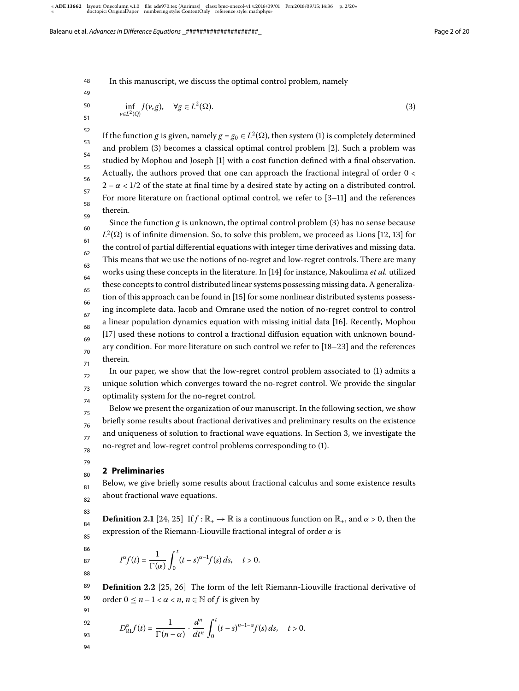48 In this manuscript, we discuss the optimal control problem, namely

$$
\inf_{v \in L^2(Q)} J(v, g), \quad \forall g \in L^2(\Omega). \tag{3}
$$

50 51

49

52 53 54 55 56 57 58 59 If the function g is given, namely  $g = g_0 \in L^2(\Omega)$ , then system (1) is completely determined and problem (3) becomes a classical optimal control problem [2]. Such a problem was studied by Mophou and Joseph [] with a cost function defined with a final observation. Actually, the authors proved that one can approach the fractional integral of order 0 <  $2 - \alpha < 1/2$  of the state at final time by a desired state by acting on a distributed control. For more literature on fractional optimal control, we refer to  $[3-11]$  and the references therein.

60 61 62 63 64 65 66 67 68 69 70 71 Since the function  $g$  is unknown, the optimal control problem  $(3)$  has no sense because  $L^2(\Omega)$  is of infinite dimension. So, to solve this problem, we proceed as Lions [12, 13] for the control of partial differential equations with integer time derivatives and missing data. This means that we use the notions of no-regret and low-regret controls. There are many works using these concepts in the literature. In [14] for instance, Nakoulima *et al.* utilized these concepts to control distributed linear systems possessing missing data. A generalization of this approach can be found in [15] for some nonlinear distributed systems possessing incomplete data. Jacob and Omrane used the notion of no-regret control to control a linear population dynamics equation with missing initial data [16]. Recently, Mophou [17] used these notions to control a fractional diffusion equation with unknown boundary condition. For more literature on such control we refer to  $[18-23]$  and the references therein.

72 73 74 In our paper, we show that the low-regret control problem associated to  $(1)$  admits a unique solution which converges toward the no-regret control. We provide the singular optimality system for the no-regret control.

Below we present the organization of our manuscript. In the following section, we show briefly some results about fractional derivatives and preliminary results on the existence and uniqueness of solution to fractional wave equations. In Section 3, we investigate the no-regret and low-regret control problems corresponding to (1).

## **2 Preliminaries**

Below, we give briefly some results about fractional calculus and some existence results about fractional wave equations.

**Definition 2.1** [24, 25] If  $f : \mathbb{R}_+ \to \mathbb{R}$  is a continuous function on  $\mathbb{R}_+$ , and  $\alpha > 0$ , then the expression of the Riemann-Liouville fractional integral of order  $\alpha$  is

$$
I^{\alpha}f(t)=\frac{1}{\Gamma(\alpha)}\int_0^t(t-s)^{\alpha-1}f(s)\,ds,\quad t>0.
$$

89 90 **Definition 2.2** [25, 26] The form of the left Riemann-Liouville fractional derivative of order  $0 \le n - 1 < \alpha < n$ ,  $n \in \mathbb{N}$  of f is given by

91 92

$$
D_{\mathrm{RL}}^{\alpha}f(t)=\frac{1}{\Gamma(n-\alpha)}\cdot\frac{d^n}{dt^n}\int_0^t(t-s)^{n-1-\alpha}f(s)\,ds,\quad t>0.
$$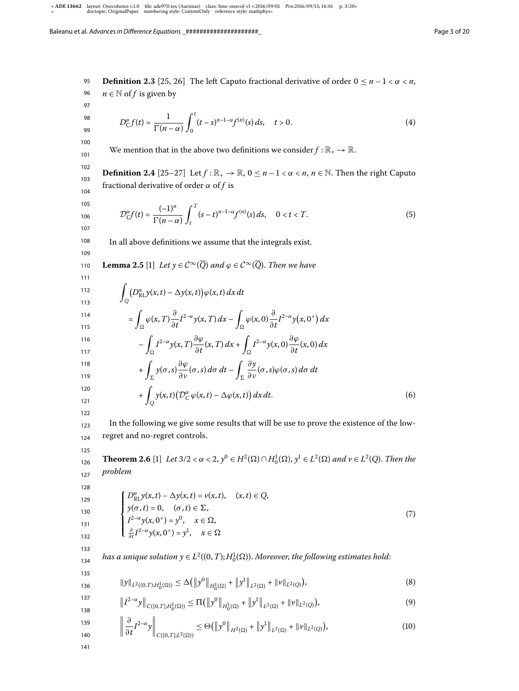95 96 97 98 99 100 101 102 103 104 105 106 107 108 109 110 111 112 113 114 115 116 117 118 119 120 121 122 123 **Definition 2.3** [25, 26] The left Caputo fractional derivative of order  $0 \le n - 1 < \alpha < n$ ,  $n \in \mathbb{N}$  of f is given by  $D_{\rm C}^{\alpha} f(t) = \frac{1}{\Gamma(n-\alpha)}$  $\int_0^t$  $\boldsymbol{0}$  $(t-s)^{n-1-\alpha} f^{(n)}(s) ds, \quad t > 0.$  (4) We mention that in the above two definitions we consider  $f : \mathbb{R}_+ \to \mathbb{R}$ . **Definition 2.4** [25-27] Let  $f : \mathbb{R}_+ \to \mathbb{R}$ ,  $0 \le n - 1 < \alpha < n$ ,  $n \in \mathbb{N}$ . Then the right Caputo fractional derivative of order  $\alpha$  of f is  $\mathcal{D}_{\mathcal{C}}^{\alpha}f(t)=\frac{(-1)^{n}}{\Gamma(n-\alpha)}$  $\int_0^T$ t  $(s-t)^{n-1-\alpha} f^{(n)}(s) ds, \quad 0 < t < T.$  (5) In all above definitions we assume that the integrals exist. **Lemma 2.5** [1] Let  $y \in C^{\infty}(\overline{Q})$  and  $\varphi \in C^{\infty}(\overline{Q})$ . Then we have  $\overline{a}$ Q  $(D_{\text{RL}}^{\alpha} y(x,t) - \Delta y(x,t)) \varphi(x,t) dx dt$  $=$  $\int_{\Omega} \varphi(x, T) \frac{\partial}{\partial x}$  $\frac{\partial}{\partial t}I^{2-\alpha}y(x,T) dx - \int$  $\int_{\Omega} \varphi(x,0) \frac{\partial}{\partial t} I^{2-\alpha} y(x,0^+) dx$  $\overline{\phantom{a}}$  $\int_{\Omega} I^{2-\alpha} y(x, T) \frac{\partial \varphi}{\partial t}$  $\frac{\partial \varphi}{\partial t}(x,T) dx + \int$  $\int_{\Omega} I^{2-\alpha} y(x,0) \frac{\partial \varphi}{\partial t}(x,0) dx$  $+$  $\int_{\Sigma} y(\sigma, s) \frac{\partial \varphi}{\partial \nu}$  $\frac{\partial \varphi}{\partial v}(\sigma,s) \, d\sigma \, dt - \int$ Σ ∂y  $\frac{\partial g}{\partial v}(\sigma, s) \varphi(\sigma, s) d\sigma dt$  $+$ Q  $y(x,t)(D_C^{\alpha}\varphi(x,t) - \Delta\varphi(x,t)) dx dt.$  (6) In the following we give some results that will be use to prove the existence of the low-

regret and no-regret controls.

125

126 127 **Theorem 2.6** [1] Let  $3/2 < \alpha < 2$ ,  $y^0 \in H^2(\Omega) \cap H_0^1(\Omega)$ ,  $y^1 \in L^2(\Omega)$  and  $v \in L^2(Q)$ . Then the problem

128 129

124

$$
\begin{cases}\nD_{\text{RL}}^{\alpha}y(x,t) - \Delta y(x,t) = v(x,t), & (x,t) \in Q, \\
y(\sigma, t) = 0, & (\sigma, t) \in \Sigma, \\
I^{2-\alpha}y(x, 0^+) = y^0, & x \in \Omega, \\
\frac{\partial}{\partial t}I^{2-\alpha}y(x, 0^+) = y^1, & x \in \Omega\n\end{cases}
$$
\n(7)

133 134

has a unique solution  $y\in L^2((0,T);H^1_0(\Omega)).$  Moreover, the following estimates hold:

135 136  $||y||_{L^2((0,T);H_0^1(\Omega))} \leq \Delta (||y^0||_{H_0^1(\Omega)} + ||y^1||_{L^2(\Omega)} + ||v||_{L^2(Q)})$ ,  $(8)$ 

$$
\|I^{2-\alpha}y\|_{C([0,T];H_0^1(\Omega))} \le \Pi \big( \|y^0\|_{H_0^1(\Omega)} + \|y^1\|_{L^2(\Omega)} + \|v\|_{L^2(Q)} \big),\tag{9}
$$

$$
\left\| \frac{\partial}{\partial t} I^{2-\alpha} y \right\|_{C([0,T];L^2(\Omega))} \leq \Theta \big( \left\| y^0 \right\|_{H^2(\Omega)} + \left\| y^1 \right\|_{L^2(\Omega)} + \left\| v \right\|_{L^2(Q)} \big), \tag{10}
$$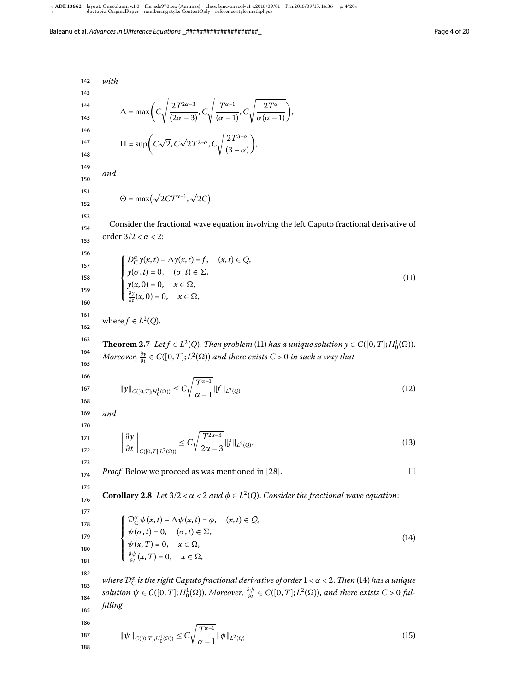142 143 144 145 146 147 148 149 150 151 152 153 154 155 156 157 158 159 160 161 162 163 164 165 166 167 168 169 170 171 172 173 174 175 176 177 178 179 180 181 182 183 184 185 186 with  $\Delta = \max \Big( C$  $\sqrt{\frac{2T^{2\alpha-3}}{(2\alpha-3)}}$ , C  $\sqrt{\frac{T^{\alpha-1}}{(\alpha-1)}}$ , C  $\sqrt{\frac{2T^{\alpha}}{\alpha(\alpha-1)}}$  $\Pi = \sup \left( C \sqrt{2}, C \sqrt{2T^{2-\alpha}}, C \right)$  $\sqrt{2T^{3-\alpha}}$  $(3 - \alpha)$  , and  $\Theta = \max(\sqrt{2}CT^{\alpha-1}, \sqrt{2}C).$ Consider the fractional wave equation involving the left Caputo fractional derivative of order  $3/2 < \alpha < 2$ :  $\sqrt{ }$  $\Big\}$  $\overline{\mathcal{L}}$  $D_C^{\alpha} y(x,t) - \Delta y(x,t) = f, \quad (x,t) \in Q,$  $y(\sigma,t) = 0, \quad (\sigma,t) \in \Sigma,$  $y(x, 0) = 0, \quad x \in \Omega,$ <br>  $\frac{\partial y(x, 0) - 0}{\partial x} = 0$  $\frac{\partial y}{\partial t}(x,0)=0, \quad x\in\Omega,$  $(11)$ where  $f \in L^2(Q)$ . **Theorem 2.7** Let  $f \in L^2(Q)$ . Then problem (11) has a unique solution  $y \in C([0, T]; H_0^1(\Omega))$ . Moreover,  $\frac{\partial y}{\partial t}$  $\frac{\partial y}{\partial t}$  ∈ C([0, T]; L<sup>2</sup>(Ω)) and there exists C > 0 in such a way that  $||y||_{C([0,T];H_0^1(\Omega))} \leq C$  $\int T^{\alpha-1}$  $\frac{1}{\alpha-1}$   $\|f\|_{L^2(Q)}$  $(12)$ and  $\begin{array}{c} \hline \end{array}$ ∂y ∂t  $\Big\|_{C([0,T];L^2(\Omega))} \leq C$  $T^{2\alpha-3}$  $\frac{1}{2\alpha-3} \|f\|_{L^2(Q)}$ .  $(13)$ *Proof* Below we proceed as was mentioned in [28].  $\Box$ **Corollary 2.8** Let  $3/2 < \alpha < 2$  and  $\phi \in L^2(Q)$ . Consider the fractional wave equation:  $\sqrt{ }$  $\bigg\}$  $\overline{\mathcal{L}}$  $\mathcal{D}_{\mathcal{C}}^{\alpha} \psi(x,t) - \Delta \psi(x,t) = \phi, \quad (x,t) \in \mathcal{Q},$  $\psi(\sigma,t) = 0, \quad (\sigma,t) \in \Sigma,$  $\psi(x, T) = 0, \quad x \in \Omega,$ <br>  $\frac{\partial \psi}{\partial t}(x, T) = 0, \quad x \in \Omega,$ ∂t  $(14)$ where  $\mathcal{D}_{\mathsf{C}}^{\alpha}$  is the right Caputo fractional derivative of order  $1$  <  $\alpha$  < 2. Then (14) has a unique solution  $\psi \in C([0,T];H^1_0(\Omega))$ . Moreover,  $\frac{\partial \psi}{\partial t} \in C([0,T];L^2(\Omega))$ , and there exists  $C > 0$  fulfilling  $\frac{1}{2}$ 

$$
\|\psi\|_{C([0,T];H_0^1(\Omega))} \le C\sqrt{\frac{T^{\alpha-1}}{\alpha-1}} \|\phi\|_{L^2(Q)}\tag{15}
$$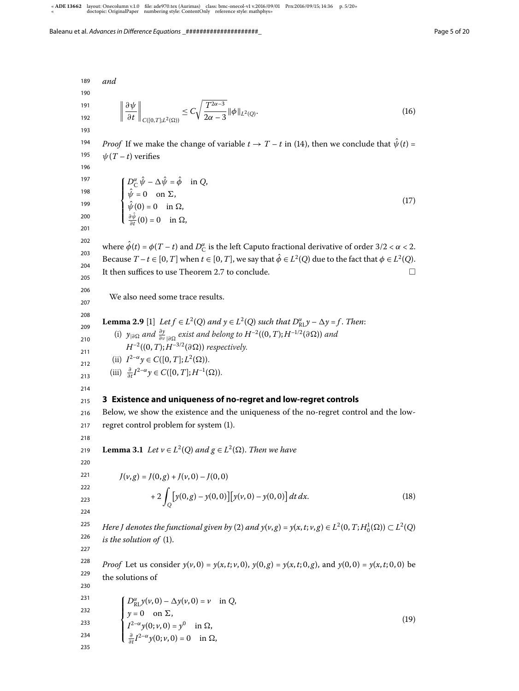189 190 191 192 193 194 195 196 197 198 199 200 201 202 203 204 205 206 207 208 209 210 211 212  $213$ 214 215 216 217 218 219 220 221 222 223 224 225 226 227 228 229 230 231 232 233 234 235 and  $\begin{array}{c} \hline \end{array}$ ∂ψ ∂t  $\Big\|_{C([0,T];L^2(\Omega))} \leq C$  $T^{2\alpha-3}$  $\frac{1}{2\alpha-3} \|\phi\|_{L^2(Q)}$ .  $(16)$ *Proof* If we make the change of variable  $t \to T - t$  in (14), then we conclude that  $\hat{\psi}(t) =$  $\psi(T - t)$  verifies  $\sqrt{ }$  $\Big\}$  $\overline{\mathcal{L}}$  $D_C^{\alpha} \hat{\psi} - \Delta \hat{\psi} = \hat{\phi} \text{ in } Q,$  $\psi = 0$  on  $\Sigma$ ,  $\psi(0) = 0$  in  $\Omega$ ,  $\frac{\partial \psi}{\partial t}(0) = 0$  in  $\Omega$ ,  $(17)$ where  $\hat{\phi}(t) = \phi(T - t)$  and  $D_C^{\alpha}$  is the left Caputo fractional derivative of order 3/2 <  $\alpha$  < 2. Because  $T-t \in [0, T]$  when  $t \in [0, T]$ , we say that  $\hat{\phi} \in L^2(Q)$  due to the fact that  $\phi \in L^2(Q)$ . It then suffices to use Theorem 2.7 to conclude.  $\Box$ We also need some trace results. **Lemma 2.9** [1] Let  $f \in L^2(Q)$  and  $y \in L^2(Q)$  such that  $D_{\text{RL}}^{\alpha}y - \Delta y = f$ . Then: (i)  $y_{|\partial\Omega}$  and  $\frac{\partial y}{\partial v_{|\partial\Omega}}$  exist and belong to  $H^{-2}((0,T);H^{-1/2}(\partial\Omega))$  and  $H^{-2}((0,T);H^{-3/2}(\partial\Omega))$  respectively. (ii)  $I^{2-\alpha}y \in C([0, T]; L^2(\Omega)).$ (iii)  $\frac{\partial}{\partial t} I^{2-\alpha} y \in C([0, T]; H^{-1}(\Omega)).$ **3 Existence and uniqueness of no-regret and low-regret controls** Below, we show the existence and the uniqueness of the no-regret control and the lowregret control problem for system (1). **Lemma 3.1** Let  $v \in L^2(Q)$  and  $g \in L^2(\Omega)$ . Then we have  $J(v, g) = J(0, g) + J(v, 0) - J(0, 0)$  $+ 2$ Q  $\left[ y(0,g) - y(0,0) \right] \left[ y(v,0) - y(0,0) \right] dt dx.$  (18) Here J denotes the functional given by (2) and  $y(v, g) = y(x, t; v, g) \in L^2(0, T; H_0^1(\Omega)) \subset L^2(Q)$ is the solution of  $(1)$ . *Proof* Let us consider  $y(v, 0) = y(x, t; v, 0)$ ,  $y(0, g) = y(x, t; 0, g)$ , and  $y(0, 0) = y(x, t; 0, 0)$  be the solutions of  $\sqrt{ }$  $\Big\}$  $\overline{\mathcal{L}}$  $D_{\text{RL}}^{\alpha} y(\nu, 0) - \Delta y(\nu, 0) = \nu \text{ in } Q,$  $y = 0$  on  $\Sigma$ ,  $I^{2-\alpha}y(0; v, 0) = y^0$  in  $\Omega$ ,  $\frac{\partial}{\partial t}I^{2-\alpha}y(0; v, 0) = 0$  in  $\Omega$ ,  $(19)$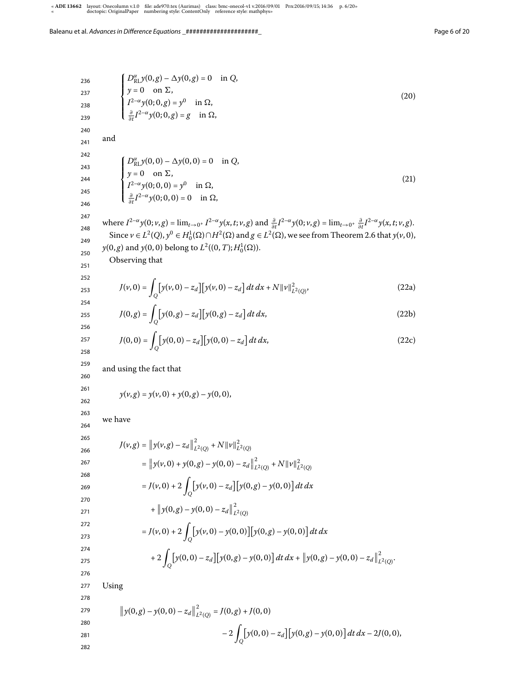236 237 238 239 240 241 242 243 244 245 246 247 248 249 250 251 252 253 254 255 256 257 258 259 260 261 262 263 264 265 266 267 268 269 270 271 272 273 274 275 276 277 278 279 280 281 282 D α RLy(, g) – 1y(, g) = in Q, y = on 6, I –α y(; , g) = y in , ∂ ∂t I –α y(; , g) = g in , () and D α RLy(, ) – 1y(, ) = in Q, y = on 6, I –α y(; , ) = y in , ∂ ∂t I –α y(; , ) = in , () where I –α y(; v, g) = lim<sup>t</sup>→ + I –α y(x,t; v, g) and <sup>∂</sup> ∂t I –α y(; v, g) = lim<sup>t</sup>→ + ∂ ∂t I –α y(x,t; v, g). Since v ∈ L (Q), y <sup>∈</sup> <sup>H</sup> ()∩H () and g ∈ L (), we see from Theorem . that y(v, ), y(, g) and y(, ) belong to L ((,T);H ()). Observing that <sup>J</sup>(v, ) = <sup>Z</sup> Q y(v, ) – z<sup>d</sup> y(v, ) – z<sup>d</sup> dt dx + Nkvk L (Q) , (a) <sup>J</sup>(, <sup>g</sup>) = <sup>Z</sup> Q y(, g) – z<sup>d</sup> y(, g) – z<sup>d</sup> dt dx, (b) <sup>J</sup>(, ) = <sup>Z</sup> Q y(, ) – z<sup>d</sup> y(, ) – z<sup>d</sup> dt dx, (c) and using the fact that y(v, g) = y(v, ) + y(, g) – y(, ), we have J(v, g) = <sup>y</sup>(v, <sup>g</sup>) – <sup>z</sup><sup>d</sup> L (Q) + Nkvk L (Q) = <sup>y</sup>(v, ) + <sup>y</sup>(, <sup>g</sup>) – <sup>y</sup>(, ) – <sup>z</sup><sup>d</sup> L (Q) + Nkvk L (Q) <sup>=</sup> <sup>J</sup>(v, ) + <sup>Z</sup> Q y(v, ) – z<sup>d</sup> y(, g) – y(, ) dt dx + <sup>y</sup>(, <sup>g</sup>) – <sup>y</sup>(, ) – <sup>z</sup><sup>d</sup> L (Q) <sup>=</sup> <sup>J</sup>(v, ) + <sup>Z</sup> Q y(v, ) – y(, )y(, g) – y(, ) dt dx + <sup>Z</sup> Q y(, ) – z<sup>d</sup> y(, g) – y(, ) dt dx + <sup>y</sup>(, <sup>g</sup>) – <sup>y</sup>(, ) – <sup>z</sup><sup>d</sup> L (Q) . Using <sup>y</sup>(, <sup>g</sup>) – <sup>y</sup>(, ) – <sup>z</sup><sup>d</sup> L (Q) = J(, g) + J(, ) – <sup>Z</sup> Q y(, ) – z<sup>d</sup> y(, g) – y(, ) dt dx – J(, ),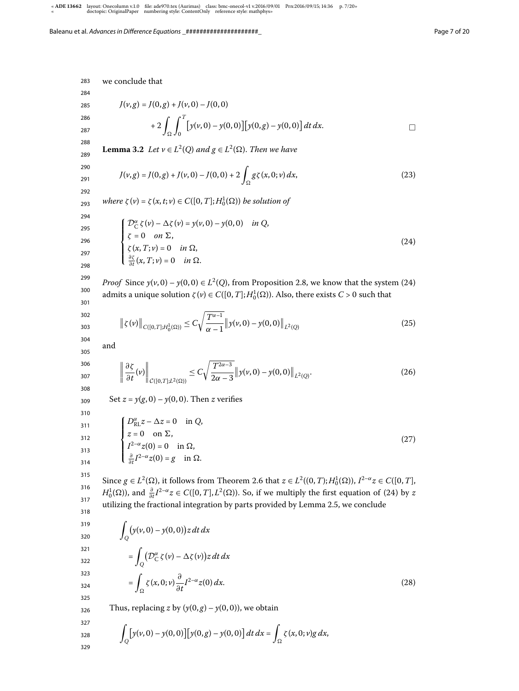we conclude that  $J(v, g) = J(0, g) + J(v, 0) - J(0, 0)$  $+ 2 \int_{\Omega}$  $\int_0^T$  $\boldsymbol{0}$  $\left[ y(v, 0) - y(0, 0) \right] \left[ y(0, g) - y(0, 0) \right] dt dx.$ **Lemma 3.2** Let  $v \in L^2(Q)$  and  $g \in L^2(\Omega)$ . Then we have  $J(\nu, g) = J(0, g) + J(\nu, 0) - J(0, 0) + 2 \int_{\Omega} g \zeta(x, 0; \nu) dx,$  (23) where  $\zeta(v) = \zeta(x, t; v) \in C([0, T]; H_0^1(\Omega))$  be solution of

293 294 295

$$
\begin{cases}\n\mathcal{D}_{\mathcal{C}}^{\alpha}\zeta(v) - \Delta\zeta(v) = y(v,0) - y(0,0) & \text{in } Q, \\
\zeta = 0 & \text{on } \Sigma, \\
\zeta(x,T;\nu) = 0 & \text{in } \Omega, \\
\frac{\partial \zeta}{\partial t}(x,T;\nu) = 0 & \text{in } \Omega.\n\end{cases}
$$
\n(24)

297 298

302 303

326

296

299 300 301 *Proof* Since  $y(v, 0) - y(0, 0) \in L^2(Q)$ , from Proposition 2.8, we know that the system (24) admits a unique solution  $\zeta(v) \in C([0, T]; H_0^1(\Omega))$ . Also, there exists  $C > 0$  such that

$$
\|\zeta(v)\|_{C([0,T];H_0^1(\Omega))} \le C\sqrt{\frac{T^{\alpha-1}}{\alpha-1}}\|y(v,0) - y(0,0)\|_{L^2(Q)}
$$
\n(25)

304 305 and

$$
\left\|\frac{\partial \zeta}{\partial t}(\nu)\right\|_{\mathcal{C}([0,T];L^2(\Omega))} \leq C\sqrt{\frac{T^{2\alpha-3}}{2\alpha-3}}\left\|y(\nu,0)-y(0,0)\right\|_{L^2(Q)}.\tag{26}
$$

Set  $z = y(g, 0) - y(0, 0)$ . Then z verifies

310  
\n311  
\n312  
\n2 = 0 on 
$$
\Sigma
$$
,  
\n313  
\n314  
\n
$$
\begin{cases}\nD_{\text{RL}}^{\alpha}z - \Delta z = 0 & \text{in } Q, \\
z = 0 & \text{on } \Sigma,\n\end{cases}
$$
\n(27)  
\n314  
\n314  
\n316  
\n317  
\n319  
\n310  
\n
$$
\sum_{z=0}^{3} I^{2-\alpha} z(0) = 0 \quad \text{in } \Omega.
$$

315 316 317 318 Since  $g \in L^2(\Omega)$ , it follows from Theorem 2.6 that  $z \in L^2((0, T); H_0^1(\Omega)),$   $I^{2-\alpha}z \in C([0, T],$  $H_0^1(\Omega)$ ), and  $\frac{\partial}{\partial t}I^{2-\alpha}z \in C([0,T], L^2(\Omega))$ . So, if we multiply the first equation of (24) by z utilizing the fractional integration by parts provided by Lemma 2.5, we conclude

$$
\int_{320}^{319} \int_{Q} (y(\nu, 0) - y(0, 0))z \, dt \, dx
$$
\n
$$
= \int_{Q} (D_{C}^{\alpha} \zeta(\nu) - \Delta \zeta(\nu))z \, dt \, dx
$$
\n
$$
= \int_{\Omega} \zeta(x, 0; \nu) \frac{\partial}{\partial t} I^{2-\alpha} z(0) \, dx.
$$
\n(28)

Thus, replacing z by  $(y(0, g) - y(0, 0))$ , we obtain

327  
328  
329  

$$
\int_{Q} [y(v,0) - y(0,0)] [y(0,g) - y(0,0)] dt dx = \int_{\Omega} \zeta(x,0;v)g dx,
$$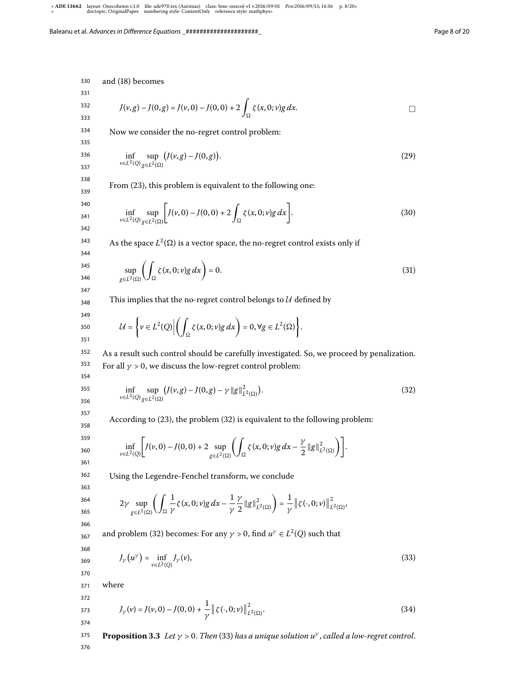330 and (18) becomes

331 332

333

$$
J(\nu, g) - J(0, g) = J(\nu, 0) - J(0, 0) + 2 \int_{\Omega} \zeta(x, 0; \nu) g \, dx.
$$

334 Now we consider the no-regret control problem:

335 336

337

$$
\inf_{v \in L^2(Q)} \sup_{g \in L^2(\Omega)} \big( J(v, g) - J(0, g) \big). \tag{29}
$$

338 339 From (23), this problem is equivalent to the following one:

$$
\begin{array}{c} 340 \\ 341 \end{array}
$$

342 343 344

$$
\inf_{v \in L^2(Q)} \sup_{g \in L^2(\Omega)} \left[ J(v, 0) - J(0, 0) + 2 \int_{\Omega} \zeta(x, 0; v) g \, dx \right]. \tag{30}
$$

As the space  $L^2(\Omega)$  is a vector space, the no-regret control exists only if

$$
\sup_{345} \left( \int_{g \in L^2(\Omega)} \left( \int_{\Omega} \zeta(x, 0; v) g \, dx \right) = 0. \right) \tag{31}
$$

This implies that the no-regret control belongs to  $U$  defined by

$$
\mathcal{U} = \left\{ v \in L^2(Q) \middle| \left( \int_{\Omega} \zeta(x, 0; v) g \, dx \right) = 0, \forall g \in L^2(\Omega) \right\}.
$$

352 353 As a result such control should be carefully investigated. So, we proceed by penalization. For all  $\gamma > 0$ , we discuss the low-regret control problem:

$$
\inf_{\nu \in L^2(Q)} \sup_{g \in L^2(\Omega)} \left( J(\nu, g) - J(0, g) - \gamma ||g||^2_{L^2(\Omega)} \right). \tag{32}
$$

According to  $(23)$ , the problem  $(32)$  is equivalent to the following problem:

$$
\inf_{v\in L^2(Q)} \left[ J(v,0) - J(0,0) + 2 \sup_{g\in L^2(\Omega)} \left( \int_{\Omega} \zeta(x,0;v)g\,dx - \frac{\gamma}{2} \|g\|_{L^2(\Omega)}^2 \right) \right].
$$

Using the Legendre-Fenchel transform, we conclude

363  
\n364  
\n365  
\n2
$$
\gamma \sup_{g \in L^2(\Omega)} \left( \int_{\Omega} \frac{1}{\gamma} \zeta(x, 0; v) g \, dx - \frac{1}{\gamma} \frac{\gamma}{2} ||g||^2_{L^2(\Omega)} \right) = \frac{1}{\gamma} ||\zeta(\cdot, 0; v)||^2_{L^2(\Omega)}
$$

367 and problem (32) becomes: For any  $\gamma > 0$ , find  $u^{\gamma} \in L^2(Q)$  such that

$$
J_{\gamma}\left(u^{\gamma}\right) = \inf_{v \in L^{2}(Q)} J_{\gamma}(v),\tag{33}
$$

371 where

366

368 369 370

372  
373  

$$
J_{\gamma}(v) = J(v,0) - J(0,0) + \frac{1}{\gamma} ||\zeta(\cdot,0; v)||_{L^{2}(\Omega)}^{2}.
$$
 (34)

375 376 **Proposition 3.3** Let  $\gamma > 0$ . Then (33) has a unique solution  $u^{\gamma}$ , called a low-regret control.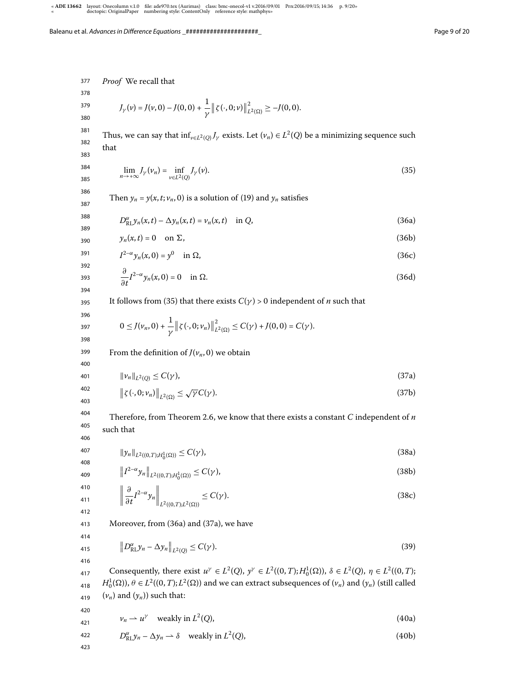Proof We recall that  $J_{\gamma}(\nu) = J(\nu, 0) - J(0, 0) + \frac{1}{\gamma} || \zeta(\cdot, 0; \nu) ||$  $\overline{\mathbf{c}}$  $\sum_{L^2(\Omega)}^2 \geq -J(0,0).$ Thus, we can say that  $\inf_{v \in L^2(Q)} J_\gamma$  exists. Let  $(v_n) \in L^2(Q)$  be a minimizing sequence such that  $\lim_{n \to +\infty} J_{\gamma}(v_n) = \inf_{v \in L^2(\mathcal{C})}$  $v \in L^2(Q)$  $J_{\gamma}(v).$  (35) Then  $y_n = y(x, t; v_n, 0)$  is a solution of (19) and  $y_n$  satisfies  $D_{\text{RL}}^{\alpha} y_n(x, t) - \Delta y_n(x, t) = v_n(x, t) \text{ in Q},$  (36a)  $y_n(x,t) = 0$  on  $\Sigma$ , (36b)  $I^{2-\alpha} y_n(x, 0) = y^0$ in  $\Omega$ , (36c)  $\partial$  $\frac{\partial}{\partial t} I^{2-\alpha} y_n(x,0) = 0 \quad \text{in } \Omega.$  (36d) It follows from (35) that there exists  $C(\gamma) > 0$  independent of *n* such that  $0 \le J(\nu_n, 0) + \frac{1}{\gamma} || \zeta(\cdot, 0; \nu_n) ||$  $\overline{\mathbf{c}}$  $\sum_{L^2(\Omega)}^2 \leq C(\gamma) + J(0,0) = C(\gamma).$ From the definition of  $J(v_n, 0)$  we obtain  $\|\nu_n\|_{L^2(Q)} \le C(\gamma),$  (37a)  $\left\|\zeta(\cdot,0;\nu_n)\right\|_{L^2(\Omega)} \leq \sqrt{\gamma}C(\gamma).$  (37b)

Therefore, from Theorem 2.6, we know that there exists a constant  $C$  independent of  $n$ such that

 $\|y_n\|_{L^2((0,T);H_0^1(\Omega))} \le C(\gamma),$  (38a)

$$
\left\|I^{2-\alpha}y_n\right\|_{L^2((0,T);H_0^1(\Omega))} \le C(\gamma),\tag{38b}
$$

$$
\left\|\frac{\partial}{\partial t}I^{2-\alpha}y_n\right\|_{L^2((0,T);L^2(\Omega))}\leq C(\gamma).
$$
\n(38c)

413 Moreover, from (36a) and (37a), we have

$$
\left\|D_{\text{RL}}^{\alpha}y_n - \Delta y_n\right\|_{L^2(Q)} \le C(\gamma). \tag{39}
$$

417 418 419 Consequently, there exist  $u^{\gamma} \in L^2(Q)$ ,  $y^{\gamma} \in L^2((0,T);H_0^1(\Omega))$ ,  $\delta \in L^2(Q)$ ,  $\eta \in L^2((0,T);$  $H_0^1(\Omega)$ ),  $\theta \in L^2((0,T);L^2(\Omega))$  and we can extract subsequences of  $(\nu_n)$  and  $(\nu_n)$  (still called  $(v_n)$  and  $(y_n)$ ) such that:

420

421

$$
\nu_n \rightharpoonup u^\gamma \quad \text{weakly in } L^2(Q), \tag{40a}
$$

422 
$$
D_{\text{RL}}^{\alpha} y_n - \Delta y_n \rightarrow \delta
$$
 weakly in  $L^2(Q)$ , (40b)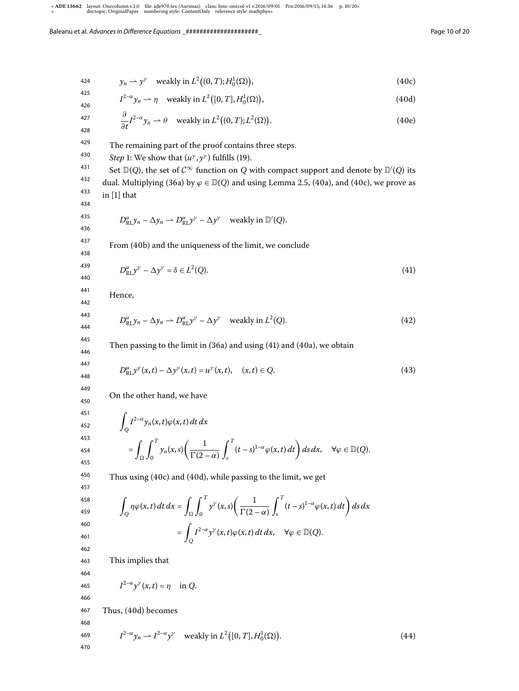$$
y_n \rightharpoonup y^{\gamma} \quad \text{weakly in } L^2((0,T);H_0^1(\Omega)), \tag{40c}
$$

$$
I^{2-\alpha} y_n \rightharpoonup \eta \quad \text{weakly in } L^2([0, T], H_0^1(\Omega)), \tag{40d}
$$

$$
\frac{\partial}{\partial t} I^{2-\alpha} y_n \rightharpoonup \theta \quad \text{weakly in } L^2((0,T);L^2(\Omega)).\tag{40e}
$$

429 The remaining part of the proof contains three steps.

430 Step 1: We show that  $(u^{\gamma}, y^{\gamma})$  fulfills (19).

431 432 433 Set  $\mathbb{D}(Q)$ , the set of  $C^{\infty}$  function on  $Q$  with compact support and denote by  $\mathbb{D}'(Q)$  its dual. Multiplying (36a) by  $\varphi \in \mathbb{D}(Q)$  and using Lemma 2.5, (40a), and (40c), we prove as in  $[1]$  that

434 435

436

$$
D_{\text{RL}}^{\alpha} y_n - \Delta y_n \to D_{\text{RL}}^{\alpha} y^{\gamma} - \Delta y^{\gamma}
$$
 weakly in  $\mathbb{D}'(Q)$ .

437

From (40b) and the uniqueness of the limit, we conclude

438 439 440

$$
D_{\text{RL}}^{\alpha} y^{\gamma} - \Delta y^{\gamma} = \delta \in L^{2}(Q). \tag{41}
$$

Hence,

$$
D_{\text{RL}}^{\alpha} y_n - \Delta y_n \rightharpoonup D_{\text{RL}}^{\alpha} y^{\gamma} - \Delta y^{\gamma} \quad \text{weakly in } L^2(Q). \tag{42}
$$

Then passing to the limit in  $(36a)$  and using  $(41)$  and  $(40a)$ , we obtain

$$
D_{\text{RL}}^{\alpha} y^{\gamma}(x,t) - \Delta y^{\gamma}(x,t) = u^{\gamma}(x,t), \quad (x,t) \in Q.
$$
 (43)

On the other hand, we have

$$
\int_{Q} I^{2-\alpha} y_{n}(x,t) \varphi(x,t) dt dx
$$
\n
$$
= \int_{\Omega} \int_{0}^{T} y_{n}(x,s) \left( \frac{1}{\Gamma(2-\alpha)} \int_{s}^{T} (t-s)^{1-\alpha} \varphi(x,t) dt \right) ds dx, \quad \forall \varphi \in \mathbb{D}(Q).
$$

Thus using  $(40c)$  and  $(40d)$ , while passing to the limit, we get

$$
\int_{Q} \eta \varphi(x,t) dt dx = \int_{\Omega} \int_{0}^{T} y^{\gamma}(x,s) \left( \frac{1}{\Gamma(2-\alpha)} \int_{s}^{T} (t-s)^{1-\alpha} \varphi(x,t) dt \right) ds dx
$$

$$
= \int_{Q} I^{2-\alpha} y^{\gamma}(x,t) \varphi(x,t) dt dx, \quad \forall \varphi \in \mathbb{D}(Q).
$$

This implies that

$$
I^{2-\alpha}y^{\gamma}(x,t)=\eta \text{ in } Q.
$$

465 466

467 Thus, (40d) becomes

468  
\n469 
$$
I^{2-\alpha}y_n \to I^{2-\alpha}y^{\gamma}
$$
 weakly in  $L^2([0, T], H_0^1(\Omega))$ . (44)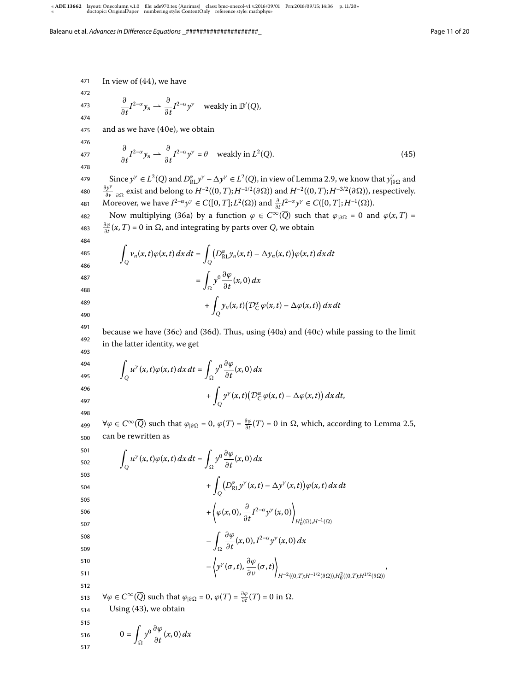471 In view of  $(44)$ , we have

472 473

474

$$
\frac{\partial}{\partial t}I^{2-\alpha}y_n \rightharpoonup \frac{\partial}{\partial t}I^{2-\alpha}y^{\gamma} \quad \text{weakly in } \mathbb{D}'(Q),
$$

475 and as we have  $(40e)$ , we obtain

476

$$
\frac{\partial}{\partial t} I^{2-\alpha} y_n \rightharpoonup \frac{\partial}{\partial t} I^{2-\alpha} y^\gamma = \theta \quad \text{weakly in } L^2(Q). \tag{45}
$$

479 480 481 Since  $y^{\gamma} \in L^2(Q)$  and  $D_{\text{RL}}^{\alpha} y^{\gamma} - \Delta y^{\gamma} \in L^2(Q)$ , in view of Lemma 2.9, we know that  $y_{|\partial\Omega}^{\gamma}$  and  $\frac{\partial y^{\gamma}}{\partial \Omega}$  exist and belong to  $H^{-2}((0,T); H^{-1/2}(\partial \Omega))$  and  $H^{-2}((0,T); H^{-3/2}(\partial \Omega))$ , respectively. Moreover, we have  $I^{2-\alpha}y^{\gamma} \in C([0,T];L^2(\Omega))$  and  $\frac{\partial}{\partial t}I^{2-\alpha}y^{\gamma} \in C([0,T];H^{-1}(\Omega)).$ 

482 483 Now multiplying (36a) by a function  $\varphi \in C^{\infty}(Q)$  such that  $\varphi_{|\partial \Omega} = 0$  and  $\varphi(x,T) =$  $\frac{\partial \varphi}{\partial t}(x,T) = 0$  in Ω, and integrating by parts over Q, we obtain

484 485

486

$$
\int_{Q} v_n(x,t)\varphi(x,t) dx dt = \int_{Q} \left( D_{\text{RL}}^{\alpha} y_n(x,t) - \Delta y_n(x,t) \right) \varphi(x,t) dx dt
$$

$$
= \int_{\Omega} y^0 \frac{\partial \varphi}{\partial t}(x,0) dx
$$

 $+$ 

487 488

489

490 491

because we have  $(36c)$  and  $(36d)$ . Thus, using  $(40a)$  and  $(40c)$  while passing to the limit in the latter identity, we get

 $\int_Q y_n(x,t) \big( \mathcal{D}_C^{\alpha} \varphi(x,t) - \Delta \varphi(x,t) \big) dx dt$ 

$$
\int_{Q} u^{\gamma}(x,t)\varphi(x,t) dx dt = \int_{\Omega} y^{0} \frac{\partial \varphi}{\partial t}(x,0) dx + \int_{Q} y^{\gamma}(x,t) \big( \mathcal{D}_{C}^{\alpha} \varphi(x,t) - \Delta \varphi(x,t) \big) dx dt,
$$

497 498

499 500 ∀ $\varphi \in C^{\infty}(\overline{Q})$  such that  $\varphi_{|\partial \Omega} = 0$ ,  $\varphi(T) = \frac{\partial \varphi}{\partial t}(T) = 0$  in Ω, which, according to Lemma 2.5, can be rewritten as

501 502 503 504 505 506 507 508 509 510 511 512 513 514 Z Q u γ (x,t)ϕ(x,t) dx dt = Z y ∂ϕ ∂t (x, ) dx + Z Q D α RLy γ (x,t) – 1y γ (x,t) ϕ(x,t) dx dt + <sup>ϕ</sup>(x, ), <sup>∂</sup> ∂t I –α y γ (x, ) H (),H–() – Z ∂ϕ ∂t (x, ),I –α y γ (x, ) dx – y γ (σ,t), ∂ϕ ∂ν (σ,t) H–((,T);H–/(∂)),H ((,T);H/(∂)) , ∀ϕ ∈ C <sup>∞</sup>(Q) such that <sup>ϕ</sup>|∂ = , <sup>ϕ</sup>(T) = ∂ϕ ∂t (T) = in . Using (), we obtain

515  
516 
$$
0 = \int_{\Omega} y^0 \frac{\partial \varphi}{\partial t}(x,0) dx
$$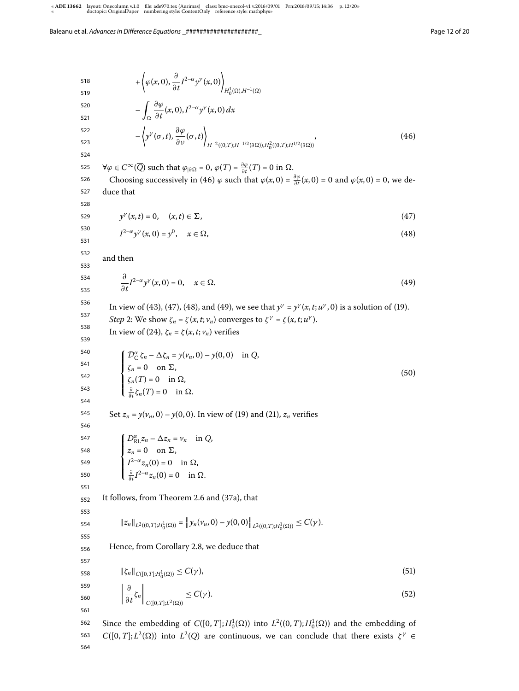564

518 519 520 521 522 523 524 525 526 527 528 529 530 531 532 533 534 535 536 537 538 539 540 541 542 543 544 545 546 547 548 549 550 551 552 553 554 555 556 557 558 559 560 561 562 563 +  $\left\langle \varphi(x,0),\frac{\partial}{\partial t}I^{2-\alpha}y^{\gamma}(x,0)\right\rangle$  $H_0^1(\Omega), H^{-1}(\Omega)$  $\overline{\phantom{a}}$ Ω  $\partial \varphi$  $\frac{\partial \varphi}{\partial t}(x,0), I^{2-\alpha}y^{\gamma}(x,0) dx$  $-\left\langle y^\gamma(\sigma,t),\frac{\partial\varphi}{\partial\nu}(\sigma,t)\right\rangle$  $H^{-2}((0,T);H^{-1/2}(\partial\Omega)), H_0^2((0,T);H^{1/2}(\partial\Omega))$  $(46)$  $\forall \varphi \in C^{\infty}(\overline{Q})$  such that  $\varphi_{|\partial \Omega} = 0$ ,  $\varphi(T) = \frac{\partial \varphi}{\partial t}(T) = 0$  in  $\Omega$ . Choosing successively in (46)  $\varphi$  such that  $\varphi(x, 0) = \frac{\partial \varphi}{\partial t}(x, 0) = 0$  and  $\varphi(x, 0) = 0$ , we deduce that  $y^{\gamma'}(x,t) = 0, \quad (x,t) \in \Sigma,$  (47)  $I^{2-\alpha}y^{\gamma}(x, 0) = y^{0}$ ,  $x \in \Omega$ , (48) and then  $\partial$  $\frac{\partial}{\partial t} I^{2-\alpha} y^{\gamma}(x,0) = 0, \quad x \in \Omega.$  (49) In view of (43), (47), (48), and (49), we see that  $y^{\gamma} = y^{\gamma}(x, t; u^{\gamma}, 0)$  is a solution of (19). *Step* 2: We show  $\zeta_n = \zeta(x, t; v_n)$  converges to  $\zeta^\gamma = \zeta(x, t; u^\gamma)$ . In view of (24),  $\zeta_n = \zeta(x,t;\nu_n)$  verifies  $\sqrt{ }$  $\Big\}$  $\overline{\mathcal{L}}$  $\mathcal{D}_{\mathcal{C}}^{\alpha} \zeta_n - \Delta \zeta_n = y(\nu_n, 0) - y(0, 0) \text{ in } Q,$  $\zeta_n = 0$  on  $\Sigma$ ,  $\zeta_n(T) = 0$  in  $\Omega$ ,  $\frac{\partial}{\partial t}\zeta_n(T) = 0$  in  $\Omega$ .  $(50)$ Set  $z_n = y(v_n, 0) - y(0, 0)$ . In view of (19) and (21),  $z_n$  verifies  $\sqrt{ }$  $\Big\}$  $\overline{\mathcal{L}}$  $D_{\text{RL}}^{\alpha} z_n - \Delta z_n = v_n$  in Q,  $z_n = 0$  on  $\Sigma$ ,  $I^{2-\alpha}z_n(0)=0$  in  $\Omega$ ,  $\frac{\partial}{\partial t}I^{2-\alpha}z_n(0)=0$  in  $\Omega$ . It follows, from Theorem 2.6 and (37a), that  $||z_n||_{L^2((0,T);H_0^1(\Omega))} = ||y_n(v_n,0) - y(0,0)||_{L^2((0,T);H_0^1(\Omega))} \leq C(\gamma).$ Hence, from Corollary 2.8, we deduce that  $\|\zeta_n\|_{C([0,T];H_0^1(\Omega))} \le C(\gamma),$  (51)  $\begin{array}{c} \hline \end{array}$ ∂  $\frac{\partial}{\partial t} \zeta_n \bigg|_{C([0,T];L^2(\Omega))} \leq C(\gamma).$  (52) Since the embedding of  $C([0, T]; H_0^1(\Omega))$  into  $L^2((0, T); H_0^1(\Omega))$  and the embedding of  $C([0, T]; L^2(\Omega))$  into  $L^2(Q)$  are continuous, we can conclude that there exists  $\zeta^{\gamma} \in$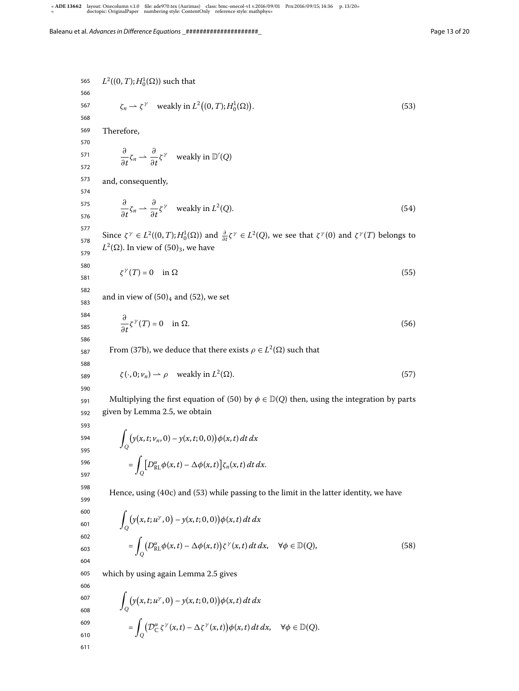565 566 567 568 569 570 571 572 573 574 575 576 577 578 579 580 581 582 583 584 585 586 587 588 589 590 591 592 593 594 595 596 597 598 599 600 601 602 603 604 605 606 607 608 609 610 611  $L^2((0, T); H_0^1(\Omega))$  such that  $\zeta_n \rightharpoonup \zeta^{\gamma}$  weakly in  $L^2((0, T); H_0^1(\Omega))$ .  $(53)$ Therefore,  $\partial$  $rac{\partial}{\partial t}\zeta_n \rightharpoonup \frac{\partial}{\partial \zeta}$  $\frac{\partial}{\partial t} \zeta^{\gamma}$  weakly in  $\mathbb{D}'(Q)$ and, consequently,  $\partial$  $rac{\partial}{\partial t}\zeta_n \rightharpoonup \frac{\partial}{\partial x}$  $\frac{\partial}{\partial t} \zeta^{\gamma}$  weakly in  $L^2$ (Q).  $(54)$ Since  $\zeta^{\gamma} \in L^2((0,T);H_0^1(\Omega))$  and  $\frac{\partial}{\partial t}\zeta^{\gamma} \in L^2(Q)$ , we see that  $\zeta^{\gamma}(0)$  and  $\zeta^{\gamma}(T)$  belongs to  $L^2(\Omega)$ . In view of  $(50)_3$ , we have  $\zeta^{\gamma}(T) = 0$  in  $\Omega$  (55) and in view of  $(50)_4$  and  $(52)$ , we set  $\partial$  $\frac{\partial}{\partial t} \zeta^{\gamma}(T) = 0 \quad \text{in } \Omega.$  (56) From (37b), we deduce that there exists  $\rho \in L^2(\Omega)$  such that  $\zeta(\cdot, 0; v_n) \rightharpoonup \rho$  weakly in  $L^2$  $(\Omega)$ . (57) Multiplying the first equation of (50) by  $\phi \in \mathbb{D}(Q)$  then, using the integration by parts given by Lemma 2.5, we obtain  $\overline{a}$ Q  $(y(x, t; v_n, 0) - y(x, t; 0, 0))\phi(x, t) dt dx$  $=$ Q  $\left[D_{\text{RL}}^{\alpha}\phi(x,t)-\Delta\phi(x,t)\right]\zeta_n(x,t) dt dx.$ Hence, using  $(40c)$  and  $(53)$  while passing to the limit in the latter identity, we have  $\overline{a}$ Q  $(y(x, t; u^{\gamma}, 0) - y(x, t; 0, 0))\phi(x, t) dt dx$  $=$ Q  $(D_{\text{RL}}^{\alpha}\phi(x,t) - \Delta\phi(x,t))\zeta^{\gamma}(x,t) dt dx, \quad \forall \phi \in \mathbb{D}(Q),$  (58) which by using again Lemma 2.5 gives  $\overline{a}$ Q  $(y(x, t; u^{\gamma}, 0) - y(x, t; 0, 0))\phi(x, t) dt dx$  $=$ Q  $\left(\mathcal{D}_{\mathcal{C}}^{\alpha}\zeta^{\gamma}(x,t)-\Delta\zeta^{\gamma}(x,t)\right)\phi(x,t) dt dx, \quad \forall \phi \in \mathbb{D}(Q).$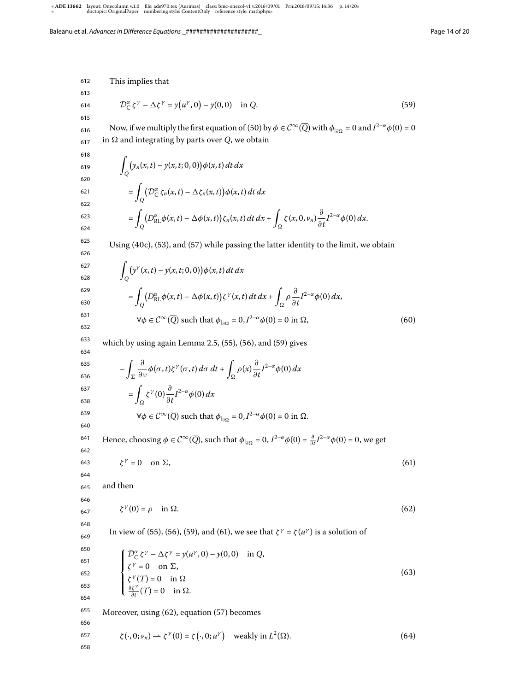612 613 614 615 616 617 618 619 620 621 622 623 624 625 626 627 628 629 630 631 632 633 634 635 636 637 638 639 640 641 642 643 644 645 646 647 648 649 650 651 652 653 654 655 656 657 658 This implies that  $\mathcal{D}_{\mathcal{C}}^{\alpha} \zeta^{\gamma} - \Delta \zeta^{\gamma} = y(u^{\gamma}, 0) - y(0, 0) \text{ in } Q.$  (59) Now, if we multiply the first equation of (50) by  $\phi \in C^{\infty}(\overline{Q})$  with  $\phi_{|\partial \Omega} = 0$  and  $I^{2-\alpha}\phi(0) = 0$ in  $\Omega$  and integrating by parts over Q, we obtain  $\overline{a}$ Q  $(y_n(x, t) - y(x, t; 0, 0))\phi(x, t) dt dx$  $=$ Q  $(\mathcal{D}_C^{\alpha} \zeta_n(x,t) - \Delta \zeta_n(x,t)) \phi(x,t) dt dx$  $=$ Q  $(D_{\text{RL}}^{\alpha}\phi(x,t) - \Delta\phi(x,t))\zeta_n(x,t) dt dx +$  $\int_{\Omega} \zeta(x, 0, v_n) \frac{\partial}{\partial x}$  $\frac{\partial}{\partial t}I^{2-\alpha}\phi(0) dx$ . Using  $(40c)$ ,  $(53)$ , and  $(57)$  while passing the latter identity to the limit, we obtain  $\overline{a}$ Q  $(y^{\gamma}(x,t) - y(x,t; 0,0))\phi(x,t) dt dx$  $=$ Q  $(D_{\text{RL}}^{\alpha}\phi(x,t) - \Delta\phi(x,t))\zeta^{\gamma}(x,t) dt dx +$ Ω  $ρ \frac{∂}{∂}$  $\frac{\partial}{\partial t} I^{2-\alpha} \phi(0) dx$  $\forall \phi \in C^{\infty}(\overline{Q})$  such that  $\phi_{|_{\partial \Omega}} = 0, I^{2-\alpha} \phi(0) = 0$  in  $\Omega$ , (60) which by using again Lemma 2.5,  $(55)$ ,  $(56)$ , and  $(59)$  gives  $\overline{\phantom{a}}$ Σ  $\partial$  $\frac{\partial}{\partial v}\phi(\sigma,t)\zeta^{\gamma}(\sigma,t)\,d\sigma\,dt + \int$  $\int_{\Omega} \rho(x) \frac{\partial}{\partial x}$  $\frac{\partial}{\partial t} I^{2-\alpha} \phi(0) dx$  $=\int_{\Omega} \zeta^{\gamma}(0) \frac{\partial}{\partial t} I^{2-\alpha} \phi(0) dx$ Ω  $\forall \phi \in C^{\infty}(\overline{Q})$  such that  $\phi_{|\partial \Omega} = 0, I^{2-\alpha} \phi(0) = 0$  in  $\Omega$ . Hence, choosing  $\phi \in C^{\infty}(\overline{Q})$ , such that  $\phi_{|_{\partial \Omega}} = 0$ ,  $I^{2-\alpha}\phi(0) = \frac{\partial}{\partial t}I^{2-\alpha}\phi(0) = 0$ , we get  $\zeta^{\gamma} = 0$  on  $\Sigma$ , (61) and then  $\zeta^{\gamma}(0) = \rho \quad \text{in } \Omega.$  (62) In view of (55), (56), (59), and (61), we see that  $\zeta^{\gamma} = \zeta(u^{\gamma})$  is a solution of  $\sqrt{ }$  $\bigg\}$  $\overline{\mathcal{L}}$  $\mathcal{D}_{\mathcal{C}}^{\alpha} \zeta^{\gamma} - \Delta \zeta^{\gamma} = y(u^{\gamma}, 0) - y(0, 0)$  in Q,  $\zeta^{\gamma} = 0$  on  $\Sigma$ ,  $\zeta^{\gamma}(T) = 0$  in  $\Omega$  $rac{\partial \zeta^{\gamma}}{\partial t}(T) = 0$  in  $\Omega$ . ∂t  $(63)$ Moreover, using  $(62)$ , equation  $(57)$  becomes  $\zeta(\cdot, 0; \nu_n) \longrightarrow \zeta^{\gamma}(0) = \zeta(\cdot, 0; u^{\gamma})$  weakly in  $L^2$  $(\Omega)$ .  $(64)$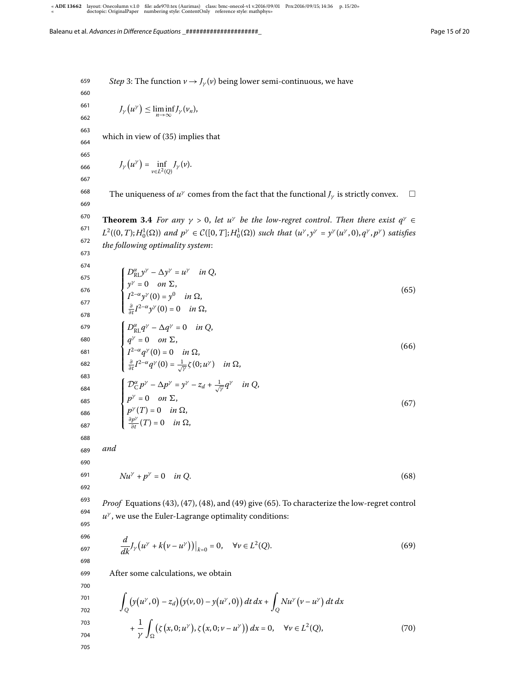659 660 661 662 663 664 665 666 667 668 669 670 671 672 673 674 675 676 677 678 679 680 681 682 683 684 685 686 687 688 689 690 691 692 693 694 695 696 697 698 699 700 *Step* 3: The function  $v \rightarrow J_{\gamma}(v)$  being lower semi-continuous, we have  $J_{\gamma}(u^{\gamma}) \leq \liminf_{n \to \infty} J_{\gamma}(v_n),$ which in view of  $(35)$  implies that  $J_{\gamma}(u^{\gamma}) = \inf_{u \in \mathcal{U}}$  $\inf_{v\in L^2(Q)}J_{\gamma}(v).$ The uniqueness of  $u^{\gamma}$  comes from the fact that the functional  $J_{\gamma}$  is strictly convex.  $\Box$ **Theorem 3.4** For any  $\gamma > 0$ , let u<sup>γ</sup> be the low-regret control. Then there exist  $q^{\gamma} \in$  $L^2((0,T);H_0^1(\Omega))$  and  $p^{\gamma} \in \mathcal{C}([0,T];H_0^1(\Omega))$  such that  $(u^{\gamma},y^{\gamma} = y^{\gamma}(u^{\gamma},0),q^{\gamma},p^{\gamma})$  satisfies the following optimality system:  $\sqrt{ }$  $\bigg\}$  $\overline{\mathcal{L}}$  $D_{\text{RL}}^{\alpha} y^{\gamma} - \Delta y^{\gamma} = u^{\gamma}$  in Q,  $y^{\gamma} = 0$  on  $\Sigma$ ,  $I^{2-\alpha}y^{\gamma}(0) = y^0$  in  $\Omega$ ,  $\frac{\partial}{\partial t}I^{2-\alpha}y^{\gamma}(0)=0$  in  $\Omega$ ,  $(65)$  $\sqrt{ }$  $\Big\}$  $\overline{\mathcal{L}}$  $D_{\rm RL}^{\alpha}q^{\gamma} - \Delta q^{\gamma} = 0$  in Q,  $q^{\gamma}=0$  on  $\Sigma$ ,  $I^{2-\alpha}q^{\gamma}(0)=0$  in  $\Omega$ ,  $\frac{\partial}{\partial t}I^{2-\alpha}q^{\gamma}(0)=\frac{1}{\sqrt{\gamma}}\zeta(0;u^{\gamma})$  in  $\Omega$ ,  $(66)$  $\sqrt{ }$  $\Big\}$  $\overline{\mathcal{L}}$  $\mathcal{D}_{\mathcal{C}}^{\alpha}p^{\gamma} - \Delta p^{\gamma} = y^{\gamma} - z_d + \frac{1}{\sqrt{\gamma}}q^{\gamma}$  in Q,  $p^{\gamma}=0$  on  $\Sigma$ ,  $p^{\gamma}(T) = 0$  in  $\Omega$ , ∂p γ  $rac{p'}{\partial t}(T) = 0$  in  $\Omega$ ,  $(67)$ and  $Nu^{\gamma} + p^{\gamma} = 0$  in Q. (68) *Proof* Equations (43), (47), (48), and (49) give (65). To characterize the low-regret control  $u^{\gamma}$ , we use the Euler-Lagrange optimality conditions: d  $\frac{u}{dk}J_{\gamma}(u^{\gamma}+k(v-u^{\gamma}))\big|_{k=0}=0, \quad \forall v \in L^{2}$  $(Q).$  (69) After some calculations, we obtain

$$
\int_{Q} (y(u^{\gamma}, 0) - z_d) (y(v, 0) - y(u^{\gamma}, 0)) dt dx + \int_{Q} Nu^{\gamma} (v - u^{\gamma}) dt dx
$$
  
\n
$$
+ \frac{1}{\gamma} \int_{\Omega} (z(x, 0; u^{\gamma}), \zeta(x, 0; v - u^{\gamma})) dx = 0, \quad \forall v \in L^{2}(Q),
$$
  
\n
$$
\int_{705}^{703} (z(x, 0; u^{\gamma}), \zeta(x, 0; v - u^{\gamma})) dx = 0, \quad \forall v \in L^{2}(Q),
$$
\n(70)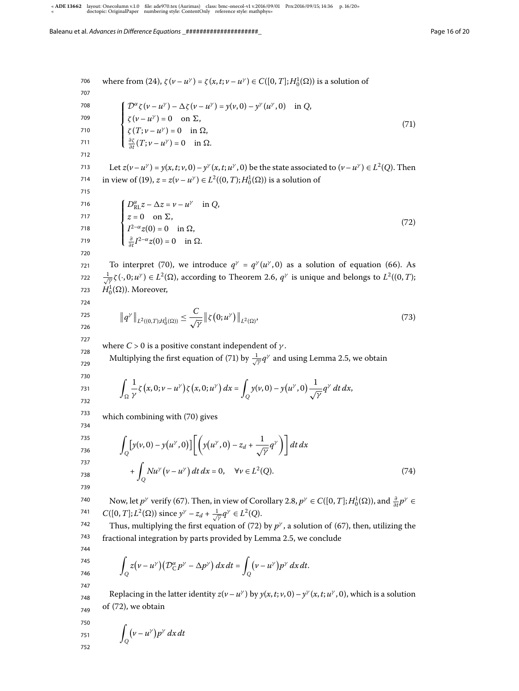<sup>706</sup> where from (24), 
$$
\zeta(\nu - u^{\gamma}) = \zeta(x, t; \nu - u^{\gamma}) \in C([0, T]; H_0^1(\Omega))
$$
 is a solution of  
\n<sup>707</sup>  
\n<sup>708</sup>  
\n<sup>709</sup>  
\n<sup>709</sup>  
\n<sup>700</sup>  
\n<sup>700</sup>  
\n<sup>701</sup>  
\n<sup>710</sup>  
\n<sup>711</sup>  
\n<sup>712</sup>  
\n<sup>713</sup>  
\n<sup>714</sup>  
\n<sup>715</sup>  
\n<sup>716</sup>  
\n<sup>718</sup>  
\n<sup>719</sup>  
\n<sup>710</sup>  
\n<sup>711</sup>  
\n<sup>712</sup>  
\n<sup>713</sup>  
\n<sup>714</sup>  
\n<sup>715</sup>  
\n<sup>716</sup>  
\n<sup>718</sup>  
\n<sup>719</sup>  
\n<sup>719</sup>  
\n<sup>710</sup>  
\n<sup>711</sup>  
\n<sup>712</sup>  
\n<sup>713</sup>  
\n<sup>714</sup>  
\n<sup>715</sup>  
\n<sup>716</sup>  
\n<sup>718</sup>  
\n<sup>719</sup>  
\n<sup>719</sup>  
\n<sup>710</sup>  
\n<sup>711</sup>  
\n<sup>711</sup>  
\n<sup>712</sup>  
\n<sup>713</sup>  
\n<sup>714</sup>  
\n<sup>715</sup>  
\n<sup>716</sup>  
\n<sup>717</sup>  
\n<sup>718</sup>  
\n<sup>719</sup>  
\n<sup>719</sup>  
\n<sup>710</sup>  
\n<sup>711</sup>  
\n<sup>712</sup>  
\n<sup>713</sup>  
\n<sup>714</sup>  
\n<sup>715</sup>  
\n<sup>716</sup>  
\n<sup>717</sup>  
\n<sup>718</sup>  
\n<sup>719</sup><

741  $C([0, T]; L^2(\Omega))$  since  $y^{\gamma} - z_d + \frac{1}{\sqrt{\gamma}} q^{\gamma} \in L^2(Q)$ .

742 743 Thus, multiplying the first equation of (72) by  $p^{\gamma}$ , a solution of (67), then, utilizing the fractional integration by parts provided by Lemma 2.5, we conclude

$$
\int_{Q} z(v - u^{\gamma})(\mathcal{D}_{C}^{\alpha} p^{\gamma} - \Delta p^{\gamma}) dx dt = \int_{Q} (v - u^{\gamma}) p^{\gamma} dx dt.
$$

746 747

744 745

748 749 Replacing in the latter identity  $z(v - u^{\gamma})$  by  $y(x, t; v, 0) - y^{\gamma}(x, t; u^{\gamma}, 0)$ , which is a solution of (72), we obtain

$$
\int_{Q} (v - u^{\gamma}) p^{\gamma} dx dt
$$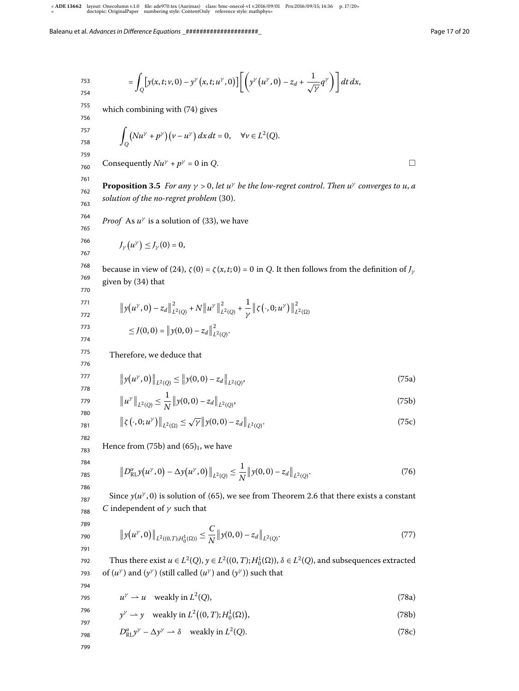$$
= \int_{Q} \left[ y(x,t;\nu,0) - y^{\gamma}\left(x,t;u^{\gamma},0\right) \right] \left[ \left( y^{\gamma}\left(u^{\gamma},0\right) - z_{d} + \frac{1}{\sqrt{\gamma}} q^{\gamma}\right) \right] dt dx,
$$

755 which combining with  $(74)$  gives

$$
\int_Q (Nu^{\gamma} + p^{\gamma})(\nu - u^{\gamma}) dx dt = 0, \quad \forall \nu \in L^2(Q).
$$

760 Consequently  $Nu^{\gamma} + p^{\gamma} = 0$  in Q.

761 762 763 **Proposition 3.5** For any  $\gamma > 0$ , let  $u^{\gamma}$  be the low-regret control. Then  $u^{\gamma}$  converges to u, a solution of the no-regret problem  $(30)$ .

764 *Proof* As  $u^{\gamma}$  is a solution of (33), we have

$$
J_{\gamma}\big(u^{\gamma}\big) \leq J_{\gamma}(0) = 0,
$$

768 769 because in view of (24),  $\zeta(0) = \zeta(x,t; 0) = 0$  in Q. It then follows from the definition of  $J_{\gamma}$ given by (34) that

$$
\frac{770}{771}
$$

765 766 767

753 754

> $\left\|y(u^\gamma,0)-z_d\right\|$  $\overline{c}$  $\frac{2}{L^2(Q)} + N ||u^{\gamma}||$  $\overline{\mathbf{c}}$  $\frac{2}{L^2(Q)} + \frac{1}{N}$  $\frac{1}{\gamma}$  |  $\zeta(\cdot, 0; u^{\gamma})$  ||  $\overline{\mathbf{c}}$  $L^2(\Omega)$  $\leq J(0,0) = ||y(0,0) - z_d||$  $\overline{c}$  $L^2(Q)$ .

Therefore, we deduce that

$$
\left\|y(u^{\gamma},0)\right\|_{L^{2}(Q)} \leq \left\|y(0,0) - z_{d}\right\|_{L^{2}(Q)},\tag{75a}
$$

$$
\|u^{\gamma}\|_{L^{2}(Q)} \leq \frac{1}{N} \|y(0,0) - z_{d}\|_{L^{2}(Q)},
$$
\n(75b)

$$
\|\zeta(\cdot,0;u^{\gamma})\|_{L^{2}(\Omega)} \leq \sqrt{\gamma}\|y(0,0)-z_{d}\|_{L^{2}(Q)}.
$$
\n(75c)

783 Hence from (75b) and  $(65)_1$ , we have

$$
\|D_{\text{RL}}^{\alpha}y(u^{\gamma},0) - \Delta y(u^{\gamma},0)\|_{L^{2}(Q)} \leq \frac{1}{N} \|y(0,0) - z_{d}\|_{L^{2}(Q)}.
$$
\n(76)

Since  $y(u^{\gamma}, 0)$  is solution of (65), we see from Theorem 2.6 that there exists a constant C independent of  $\gamma$  such that

788 789 790

791

$$
\left\|y(u^{\gamma},0)\right\|_{L^{2}((0,T);H_{0}^{1}(\Omega))} \leq \frac{C}{N}\left\|y(0,0)-z_{d}\right\|_{L^{2}(Q)}.
$$
\n(77)

792 793 Thus there exist  $u \in L^2(Q)$ ,  $y \in L^2((0, T); H_0^1(\Omega))$ ,  $\delta \in L^2(Q)$ , and subsequences extracted of  $(u^{\gamma})$  and  $(y^{\gamma})$  (still called  $(u^{\gamma})$  and  $(y^{\gamma})$ ) such that

- $u^{\gamma} \rightharpoonup u$  weakly in  $L^2$  $(Q)$ ,  $(78a)$
- $y^{\gamma} \rightharpoonup y \quad \text{weakly in } L^2\big((0,T); H^1_0(\Omega)\big)$ ,  $(78b)$

$$
D_{\text{RL}}^{\alpha} y^{\gamma} - \Delta y^{\gamma} \to \delta \quad \text{weakly in } L^{2}(Q). \tag{78c}
$$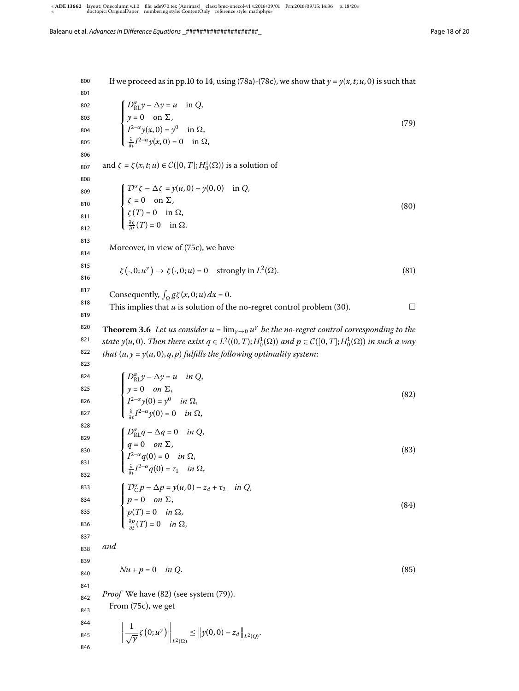800 801 802 803 804 805 806 807 808 809 810 811 812 813 814 815 816 817 818 819 820 821 822 823 824 825 826 827 828 829 830 831 832 833 834 835 836 837 838 839 840 841 842 843 844 845 846 If we proceed as in pp.10 to 14, using (78a)-(78c), we show that  $y = y(x, t; u, 0)$  is such that  $\sqrt{ }$  $\Big\}$  $\overline{\mathcal{L}}$  $D_{\text{RL}}^{\alpha} y - \Delta y = u$  in Q,  $y = 0$  on  $\Sigma$ ,  $I^{2-\alpha}y(x,0)=y^0$  in  $\Omega$ ,  $\frac{\partial}{\partial t}I^{2-\alpha}y(x,0)=0$  in  $\Omega$ ,  $(79)$ and  $\zeta = \zeta(x, t; u) \in C([0, T]; H_0^1(\Omega))$  is a solution of  $\sqrt{ }$  $\bigg\}$  $\overline{\mathcal{L}}$  $\mathcal{D}^{\alpha}\zeta - \Delta \zeta = y(u, 0) - y(0, 0)$  in Q,  $\zeta = 0$  on  $\Sigma$ ,  $\zeta(T) = 0$  in  $\Omega$ ,  $\frac{\partial \zeta}{\partial t}(T) = 0$  in  $\Omega$ .  $(80)$ Moreover, in view of (75c), we have  $\zeta(\cdot, 0; u^{\gamma}) \to \zeta(\cdot, 0; u) = 0$  strongly in  $L^2$  $(\Omega)$ . (81) Consequently,  $\int_{\Omega} g \zeta(x, 0; u) dx = 0$ . This implies that  $u$  is solution of the no-regret control problem (30). **Theorem 3.6** Let us consider  $u = \lim_{\gamma \to 0} u^{\gamma}$  be the no-regret control corresponding to the state y(u,0). Then there exist  $q \in L^2((0, T); H_0^1(\Omega))$  and  $p \in C([0, T]; H_0^1(\Omega))$  in such a way that  $(u, y = y(u, 0), q, p)$  fulfills the following optimality system:  $\sqrt{ }$  $\Big\}$  $\overline{\mathcal{L}}$  $D_{\text{RL}}^{\alpha} y - \Delta y = u \quad in \ Q,$  $y = 0$  on  $\Sigma$ ,  $I^{2-\alpha}y(0) = y^0$  in  $\Omega$ ,  $\frac{\partial}{\partial t}I^{2-\alpha}y(0) = 0$  in  $\Omega$ ,  $(82)$  $\sqrt{ }$  $\bigg\}$  $\overline{\mathcal{L}}$  $D_{\rm RL}^{\alpha}q - \Delta q = 0$  in Q,  $q = 0$  on  $\Sigma$ ,  $I^{2-\alpha}q(0)=0$  in  $\Omega$ ,  $\frac{\partial}{\partial t}I^{2-\alpha}q(0)=\tau_1$  in  $\Omega$ ,  $(83)$  $\sqrt{ }$  $\bigg\}$  $\overline{\mathcal{L}}$  $\mathcal{D}_{\mathcal{C}}^{\alpha} p - \Delta p = y(u, 0) - z_d + \tau_2$  in Q,  $p = 0$  on  $\Sigma$ ,  $p(T) = 0$  in  $\Omega$ , ∂p  $\frac{\partial p}{\partial t}(T) = 0$  in  $\Omega$ ,  $(84)$ and  $Nu + p = 0$  in Q. (85) *Proof* We have  $(82)$  (see system  $(79)$ ). From (75c), we get  $\begin{array}{c} \hline \end{array}$  $\mathbf{1}$  $\frac{1}{\sqrt{\gamma}}\zeta(0;u^{\gamma})\Big\|_{L^{2}(\Omega)} \leq \|y(0,0)-z_{d}\|_{L^{2}(Q)}.$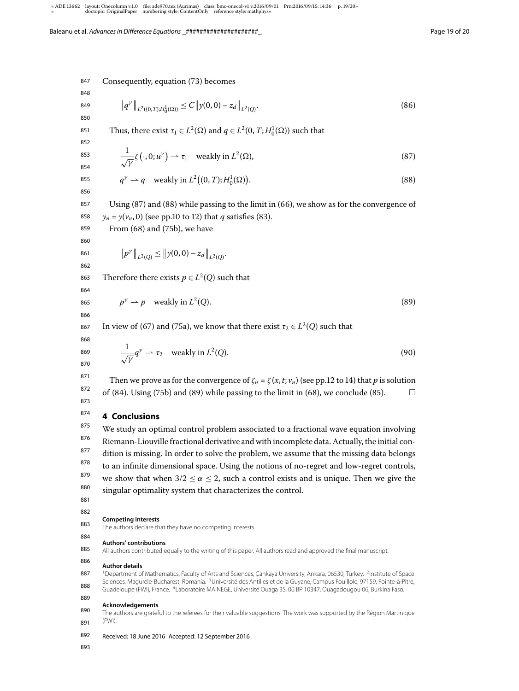847 Consequently, equation (73) becomes

848 849

850

$$
\|q^{\gamma}\|_{L^2((0,T);H_0^1(\Omega))} \le C \|y(0,0) - z_d\|_{L^2(Q)}.
$$
\n(86)

851 Thus, there exist  $\tau_1 \in L^2(\Omega)$  and  $q \in L^2(0, T; H_0^1(\Omega))$  such that

852 853

854 855 856

$$
\frac{1}{\sqrt{\gamma}}\zeta(\cdot,0;u^{\gamma}) \rightharpoonup \tau_1 \quad \text{weakly in } L^2(\Omega),\tag{87}
$$

$$
q^{\gamma} \rightharpoonup q \quad \text{weakly in } L^2((0,T);H_0^1(\Omega)).
$$
\n(88)

857 858 Using  $(87)$  and  $(88)$  while passing to the limit in  $(66)$ , we show as for the convergence of  $y_n = y(v_n, 0)$  (see pp.10 to 12) that q satisfies (83).

From  $(68)$  and  $(75b)$ , we have

859 860 861

$$
\|p^{\gamma}\|_{L^2(Q)} \leq \|y(0,0) - z_d\|_{L^2(Q)}.
$$

862

863 Therefore there exists  $p \in L^2(Q)$  such that

864 865

$$
p^{\gamma} \rightharpoonup p \quad \text{weakly in } L^2
$$

866 867

868 869 870

873

In view of (67) and (75a), we know that there exist  $\tau_2 \in L^2(Q)$  such that

$$
\frac{1}{\sqrt{\gamma}}q^{\gamma} \to \tau_2 \quad \text{weakly in } L^2(Q). \tag{90}
$$

 $(Q).$  (89)

871 872 Then we prove as for the convergence of  $\zeta_n = \zeta(x, t; v_n)$  (see pp.12 to 14) that p is solution of (84). Using (75b) and (89) while passing to the limit in (68), we conclude (85).  $\Box$ 

#### 874 **4 Conclusions**

875 876 877 878 879 880 We study an optimal control problem associated to a fractional wave equation involving Riemann-Liouville fractional derivative and with incomplete data. Actually, the initial condition is missing. In order to solve the problem, we assume that the missing data belongs to an infinite dimensional space. Using the notions of no-regret and low-regret controls, we show that when  $3/2 \le \alpha \le 2$ , such a control exists and is unique. Then we give the singular optimality system that characterizes the control.

881 882

#### 883 **Competing interests**

The authors declare that they have no competing interests.

#### 884 **Authors' contributions**

885 All authors contributed equally to the writing of this paper. All authors read and approved the final manuscript.

#### 886 **Author details**

887 888 <sup>1</sup> Department of Mathematics, Faculty of Arts and Sciences, Çankaya University, Ankara, 06530, Turkey. <sup>2</sup> Institute of Space Sciences, Magurele-Bucharest, Romania. <sup>3</sup>Université des Antilles et de la Guyane, Campus Fouillole, 97159, Pointe-à-Pitre, Guadeloupe (FWI), France. <sup>4</sup> Laboratoire MAINEGE, Université Ouaga 3S, 06 BP 10347, Ouagadougou 06, Burkina Faso

### 889 **Acknowledgements**

890 891 The authors are grateful to the referees for their valuable suggestions. The work was supported by the Région Martinique (FWI).

- 892 Received: 18 June 2016 Accepted: 12 September 2016
- 893